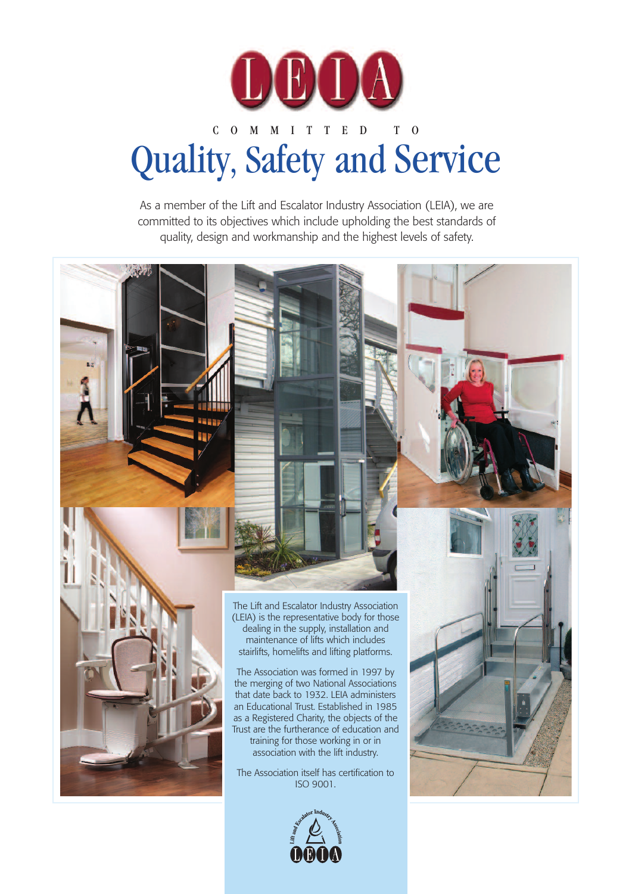

# C O M M I T T E D T O Quality, Safety and Service

As a member of the Lift and Escalator Industry Association (LEIA), we are committed to its objectives which include upholding the best standards of quality, design and workmanship and the highest levels of safety.